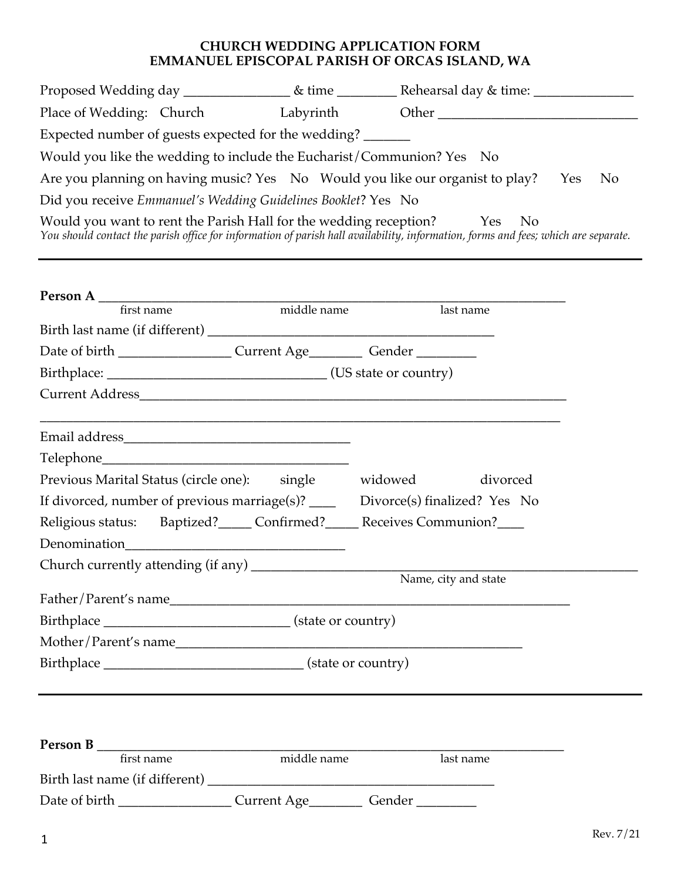## **CHURCH WEDDING APPLICATION FORM EMMANUEL EPISCOPAL PARISH OF ORCAS ISLAND, WA**

| Expected number of guests expected for the wedding?                                                                                                                                                                            |             |                                                                                                                                                                                                                |  |
|--------------------------------------------------------------------------------------------------------------------------------------------------------------------------------------------------------------------------------|-------------|----------------------------------------------------------------------------------------------------------------------------------------------------------------------------------------------------------------|--|
| Would you like the wedding to include the Eucharist/Communion? Yes No                                                                                                                                                          |             |                                                                                                                                                                                                                |  |
|                                                                                                                                                                                                                                |             | Are you planning on having music? Yes No Would you like our organist to play? Yes<br>N <sub>0</sub>                                                                                                            |  |
| Did you receive Emmanuel's Wedding Guidelines Booklet? Yes No                                                                                                                                                                  |             |                                                                                                                                                                                                                |  |
|                                                                                                                                                                                                                                |             | Would you want to rent the Parish Hall for the wedding reception? Yes No<br>You should contact the parish office for information of parish hall availability, information, forms and fees; which are separate. |  |
|                                                                                                                                                                                                                                |             |                                                                                                                                                                                                                |  |
|                                                                                                                                                                                                                                |             | last name                                                                                                                                                                                                      |  |
|                                                                                                                                                                                                                                |             |                                                                                                                                                                                                                |  |
| Date of birth _______________________Current Age____________Gender _____________                                                                                                                                               |             |                                                                                                                                                                                                                |  |
|                                                                                                                                                                                                                                |             |                                                                                                                                                                                                                |  |
|                                                                                                                                                                                                                                |             |                                                                                                                                                                                                                |  |
|                                                                                                                                                                                                                                |             |                                                                                                                                                                                                                |  |
|                                                                                                                                                                                                                                |             |                                                                                                                                                                                                                |  |
| Previous Marital Status (circle one): single widowed divorced                                                                                                                                                                  |             |                                                                                                                                                                                                                |  |
|                                                                                                                                                                                                                                |             | If divorced, number of previous marriage(s)? ______ Divorce(s) finalized? Yes No                                                                                                                               |  |
| Religious status: Baptized?_____ Confirmed?_____ Receives Communion?____                                                                                                                                                       |             |                                                                                                                                                                                                                |  |
|                                                                                                                                                                                                                                |             |                                                                                                                                                                                                                |  |
| Church currently attending (if any) ____                                                                                                                                                                                       |             |                                                                                                                                                                                                                |  |
|                                                                                                                                                                                                                                |             | Name, city and state                                                                                                                                                                                           |  |
| Birthplace ___________________________________(state or country)                                                                                                                                                               |             |                                                                                                                                                                                                                |  |
| Mother/Parent's name                                                                                                                                                                                                           |             |                                                                                                                                                                                                                |  |
|                                                                                                                                                                                                                                |             |                                                                                                                                                                                                                |  |
|                                                                                                                                                                                                                                |             |                                                                                                                                                                                                                |  |
| Person B and the state of the state of the state of the state of the state of the state of the state of the state of the state of the state of the state of the state of the state of the state of the state of the state of t |             |                                                                                                                                                                                                                |  |
| first name                                                                                                                                                                                                                     | middle name | last name                                                                                                                                                                                                      |  |

| Birth last name (if different) |             |        |
|--------------------------------|-------------|--------|
| Date of birth                  | Current Age | Gender |